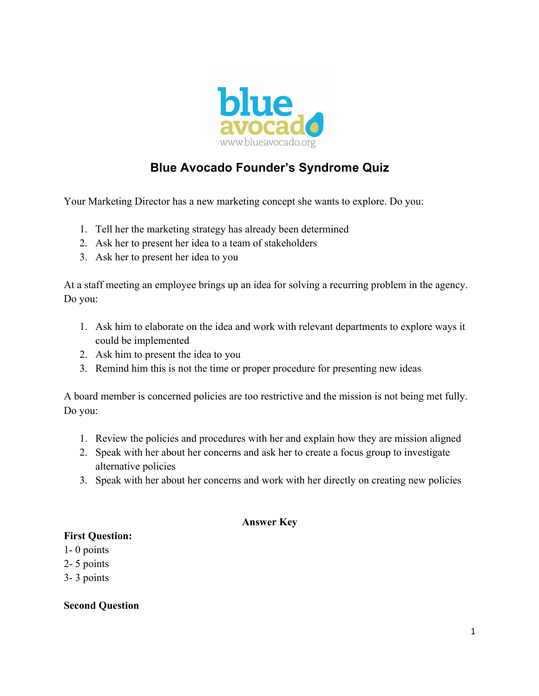

## **Blue Avocado Founder's Syndrome Quiz**

Your Marketing Director has a new marketing concept she wants to explore. Do you:

- 1. Tell her the marketing strategy has already been determined
- 2. Ask her to present her idea to a team of stakeholders
- 3. Ask her to present her idea to you

At a staff meeting an employee brings up an idea for solving a recurring problem in the agency. Do you:

- 1. Ask him to elaborate on the idea and work with relevant departments to explore ways it could be implemented
- 2. Ask him to present the idea to you
- 3. Remind him this is not the time or proper procedure for presenting new ideas

A board member is concerned policies are too restrictive and the mission is not being met fully. Do you:

- 1. Review the policies and procedures with her and explain how they are mission aligned
- 2. Speak with her about her concerns and ask her to create a focus group to investigate alternative policies
- 3. Speak with her about her concerns and work with her directly on creating new policies

## **Answer Key**

## **First Question:**

- 1- 0 points
- 2- 5 points
- 3- 3 points

**Second Question**